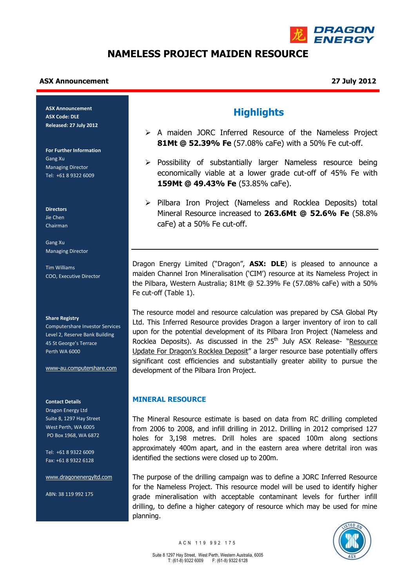

# **NAMELESS PROJECT MAIDEN RESOURCE**

### **ASX Announcement 27 July 2012**

**ASX Announcement ASX Code: DLE Released: 27 July 2012**

**For Further Information** Gang Xu Managing Director Tel: +61 8 9322 6009

**Directors** Jie Chen Chairman

Gang Xu Managing Director

Tim Williams COO, Executive Director

#### **Share Registry**

Computershare Investor Services Level 2, Reserve Bank Building 45 St George's Terrace Perth WA 6000

[www-au.computershare.com](http://www-au.computershare.com/)

#### **Contact Details**

Dragon Energy Ltd Suite 8, 1297 Hay Street West Perth, WA 6005 PO Box 1968, WA 6872

Tel: +61 8 9322 6009 Fax: +61 8 9322 6128

[www.dragonenergyltd.com](http://www.dragonenergyltd.com/)

ABN: 38 119 992 175

## **Highlights**

- A maiden JORC Inferred Resource of the Nameless Project **81Mt @ 52.39% Fe** (57.08% caFe) with a 50% Fe cut-off.
- $\triangleright$  Possibility of substantially larger Nameless resource being economically viable at a lower grade cut-off of 45% Fe with **159Mt @ 49.43% Fe** (53.85% caFe).
- $\triangleright$  Pilbara Iron Project (Nameless and Rocklea Deposits) total Mineral Resource increased to **263.6Mt @ 52.6% Fe** (58.8% caFe) at a 50% Fe cut-off.

Dragon Energy Limited ("Dragon", **ASX: DLE**) is pleased to announce a maiden Channel Iron Mineralisation ('CIM') resource at its Nameless Project in the Pilbara, Western Australia; 81Mt @ 52.39% Fe (57.08% caFe) with a 50% Fe cut-off (Table 1).

The resource model and resource calculation was prepared by CSA Global Pty Ltd. This Inferred Resource provides Dragon a larger inventory of iron to call upon for the potential development of its Pilbara Iron Project (Nameless and Rocklea Deposits). As discussed in the 25<sup>th</sup> July ASX Release- "Resource Update For Dragon's Rocklea Deposit" a larger resource base potentially offers significant cost efficiencies and substantially greater ability to pursue the development of the Pilbara Iron Project.

## **MINERAL RESOURCE**

The Mineral Resource estimate is based on data from RC drilling completed from 2006 to 2008, and infill drilling in 2012. Drilling in 2012 comprised 127 holes for 3,198 metres. Drill holes are spaced 100m along sections approximately 400m apart, and in the eastern area where detrital iron was identified the sections were closed up to 200m.

The purpose of the drilling campaign was to define a JORC Inferred Resource for the Nameless Project. This resource model will be used to identify higher grade mineralisation with acceptable contaminant levels for further infill drilling, to define a higher category of resource which may be used for mine planning.

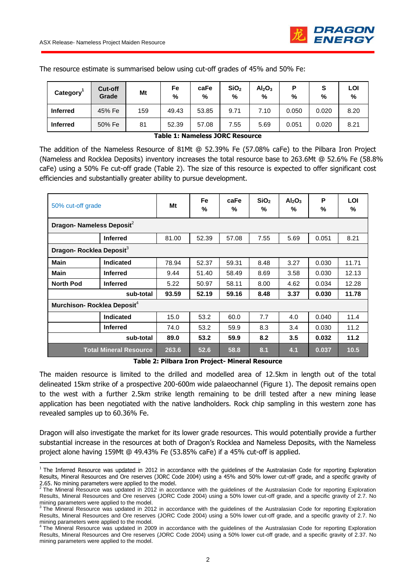**.** 

| Category'       | Cut-off<br>Grade | Mt  | Fe<br>% | caFe<br>% | SiO <sub>2</sub><br>% | Al <sub>2</sub> O <sub>3</sub><br>% | %     | S<br>% | LOI<br>% |
|-----------------|------------------|-----|---------|-----------|-----------------------|-------------------------------------|-------|--------|----------|
| <b>Inferred</b> | 45% Fe           | 159 | 49.43   | 53.85     | 9.71                  | 7.10                                | 0.050 | 0.020  | 8.20     |
| <b>Inferred</b> | 50% Fe           | 81  | 52.39   | 57.08     | 7.55                  | 5.69                                | 0.051 | 0.020  | 8.21     |

The resource estimate is summarised below using cut-off grades of 45% and 50% Fe:

**Table 1: Nameless JORC Resource**

The addition of the Nameless Resource of 81Mt @ 52.39% Fe (57.08% caFe) to the Pilbara Iron Project (Nameless and Rocklea Deposits) inventory increases the total resource base to 263.6Mt @ 52.6% Fe (58.8% caFe) using a 50% Fe cut-off grade (Table 2). The size of this resource is expected to offer significant cost efficiencies and substantially greater ability to pursue development.

| 50% cut-off grade                       |                 | Mt    | <b>Fe</b><br>% | caFe<br>% | SiO <sub>2</sub><br>% | Al <sub>2</sub> O <sub>3</sub><br>% | P<br>% | LOI<br>% |  |  |  |
|-----------------------------------------|-----------------|-------|----------------|-----------|-----------------------|-------------------------------------|--------|----------|--|--|--|
| Dragon- Nameless Deposit <sup>2</sup>   |                 |       |                |           |                       |                                     |        |          |  |  |  |
|                                         | <b>Inferred</b> | 81.00 | 52.39          | 57.08     | 7.55                  | 5.69                                | 0.051  | 8.21     |  |  |  |
| Dragon- Rocklea Deposit <sup>3</sup>    |                 |       |                |           |                       |                                     |        |          |  |  |  |
| Main                                    | Indicated       | 78.94 | 52.37          | 59.31     | 8.48                  | 3.27                                | 0.030  | 11.71    |  |  |  |
| <b>Main</b>                             | <b>Inferred</b> | 9.44  | 51.40          | 58.49     | 8.69                  | 3.58                                | 0.030  | 12.13    |  |  |  |
| <b>North Pod</b>                        | <b>Inferred</b> | 5.22  | 50.97          | 58.11     | 8.00                  | 4.62                                | 0.034  | 12.28    |  |  |  |
|                                         | sub-total       | 93.59 | 52.19          | 59.16     | 8.48                  | 3.37                                | 0.030  | 11.78    |  |  |  |
| Murchison- Rocklea Deposit <sup>4</sup> |                 |       |                |           |                       |                                     |        |          |  |  |  |
|                                         | Indicated       | 15.0  | 53.2           | 60.0      | 7.7                   | 4.0                                 | 0.040  | 11.4     |  |  |  |
|                                         | <b>Inferred</b> | 74.0  | 53.2           | 59.9      | 8.3                   | 3.4                                 | 0.030  | 11.2     |  |  |  |
| sub-total                               |                 | 89.0  | 53.2           | 59.9      | 8.2                   | 3.5                                 | 0.032  | 11.2     |  |  |  |
| <b>Total Mineral Resource</b>           |                 | 263.6 | 52.6           | 58.8      | 8.1                   | 4.1                                 | 0.037  | 10.5     |  |  |  |

**Table 2: Pilbara Iron Project- Mineral Resource**

The maiden resource is limited to the drilled and modelled area of 12.5km in length out of the total delineated 15km strike of a prospective 200-600m wide palaeochannel (Figure 1). The deposit remains open to the west with a further 2.5km strike length remaining to be drill tested after a new mining lease application has been negotiated with the native landholders. Rock chip sampling in this western zone has revealed samples up to 60.36% Fe.

Dragon will also investigate the market for its lower grade resources. This would potentially provide a further substantial increase in the resources at both of Dragon's Rocklea and Nameless Deposits, with the Nameless project alone having 159Mt @ 49.43% Fe (53.85% caFe) if a 45% cut-off is applied.

 $1$  The Inferred Resource was updated in 2012 in accordance with the quidelines of the Australasian Code for reporting Exploration Results, Mineral Resources and Ore reserves (JORC Code 2004) using a 45% and 50% lower cut-off grade, and a specific gravity of

<sup>2.65.</sup> No mining parameters were applied to the model.<br><sup>2</sup> The Mineral Resource was updated in 2012 in accordance with the guidelines of the Australasian Code for reporting Exploration Results, Mineral Resources and Ore reserves (JORC Code 2004) using a 50% lower cut-off grade, and a specific gravity of 2.7. No

mining parameters were applied to the model.<br><sup>3</sup> The Mineral Resource was updated in 2012 in accordance with the guidelines of the Australasian Code for reporting Exploration Results, Mineral Resources and Ore reserves (JORC Code 2004) using a 50% lower cut-off grade, and a specific gravity of 2.7. No mining parameters were applied to the model.<br><sup>4</sup> The Mineral Resource was updated in 2009 in accordance with the guidelines of the Australasian Code for reporting Exploration

Results, Mineral Resources and Ore reserves (JORC Code 2004) using a 50% lower cut-off grade, and a specific gravity of 2.37. No mining parameters were applied to the model.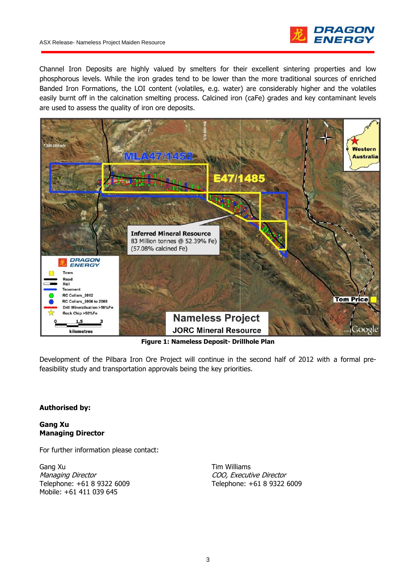

Channel Iron Deposits are highly valued by smelters for their excellent sintering properties and low phosphorous levels. While the iron grades tend to be lower than the more traditional sources of enriched Banded Iron Formations, the LOI content (volatiles, e.g. water) are considerably higher and the volatiles easily burnt off in the calcination smelting process. Calcined iron (caFe) grades and key contaminant levels are used to assess the quality of iron ore deposits.



**Figure 1: Nameless Deposit- Drillhole Plan**

Development of the Pilbara Iron Ore Project will continue in the second half of 2012 with a formal prefeasibility study and transportation approvals being the key priorities.

## **Authorised by:**

### **Gang Xu Managing Director**

For further information please contact:

Gang Xu Managing Director Telephone: +61 8 9322 6009 Mobile: +61 411 039 645

Tim Williams COO, Executive Director Telephone: +61 8 9322 6009